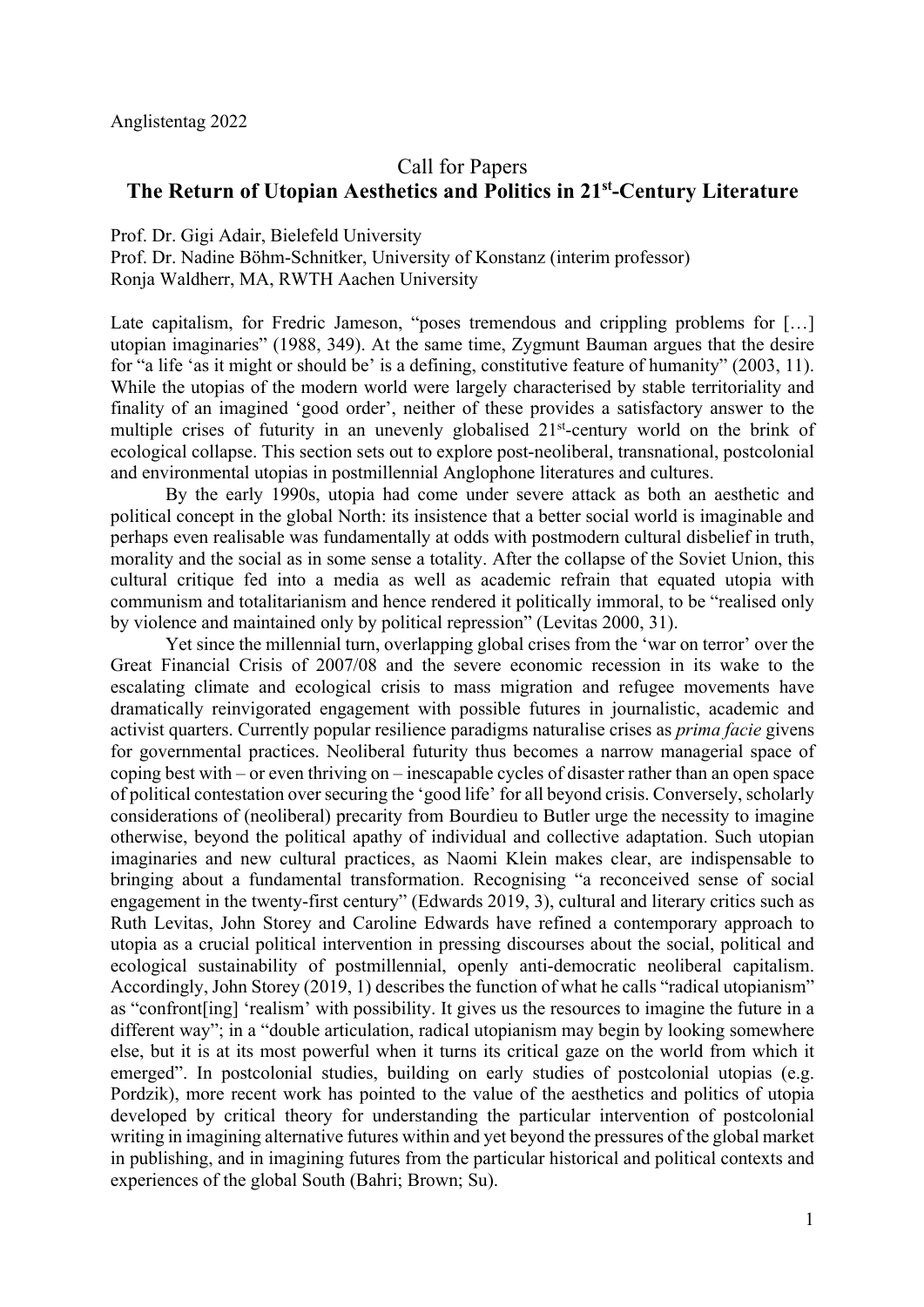## Call for Papers

## **The Return of Utopian Aesthetics and Politics in 21st-Century Literature**

Prof. Dr. Gigi Adair, Bielefeld University

Prof. Dr. Nadine Böhm-Schnitker, University of Konstanz (interim professor) Ronja Waldherr, MA, RWTH Aachen University

Late capitalism, for Fredric Jameson, "poses tremendous and crippling problems for […] utopian imaginaries" (1988, 349). At the same time, Zygmunt Bauman argues that the desire for "a life 'as it might or should be' is a defining, constitutive feature of humanity" (2003, 11). While the utopias of the modern world were largely characterised by stable territoriality and finality of an imagined 'good order', neither of these provides a satisfactory answer to the multiple crises of futurity in an unevenly globalised 21<sup>st</sup>-century world on the brink of ecological collapse. This section sets out to explore post-neoliberal, transnational, postcolonial and environmental utopias in postmillennial Anglophone literatures and cultures.

By the early 1990s, utopia had come under severe attack as both an aesthetic and political concept in the global North: its insistence that a better social world is imaginable and perhaps even realisable was fundamentally at odds with postmodern cultural disbelief in truth, morality and the social as in some sense a totality. After the collapse of the Soviet Union, this cultural critique fed into a media as well as academic refrain that equated utopia with communism and totalitarianism and hence rendered it politically immoral, to be "realised only by violence and maintained only by political repression" (Levitas 2000, 31).

Yet since the millennial turn, overlapping global crises from the 'war on terror' over the Great Financial Crisis of 2007/08 and the severe economic recession in its wake to the escalating climate and ecological crisis to mass migration and refugee movements have dramatically reinvigorated engagement with possible futures in journalistic, academic and activist quarters. Currently popular resilience paradigms naturalise crises as *prima facie* givens for governmental practices. Neoliberal futurity thus becomes a narrow managerial space of coping best with – or even thriving on – inescapable cycles of disaster rather than an open space of political contestation over securing the 'good life' for all beyond crisis. Conversely, scholarly considerations of (neoliberal) precarity from Bourdieu to Butler urge the necessity to imagine otherwise, beyond the political apathy of individual and collective adaptation. Such utopian imaginaries and new cultural practices, as Naomi Klein makes clear, are indispensable to bringing about a fundamental transformation. Recognising "a reconceived sense of social engagement in the twenty-first century" (Edwards 2019, 3), cultural and literary critics such as Ruth Levitas, John Storey and Caroline Edwards have refined a contemporary approach to utopia as a crucial political intervention in pressing discourses about the social, political and ecological sustainability of postmillennial, openly anti-democratic neoliberal capitalism. Accordingly, John Storey (2019, 1) describes the function of what he calls "radical utopianism" as "confront[ing] 'realism' with possibility. It gives us the resources to imagine the future in a different way"; in a "double articulation, radical utopianism may begin by looking somewhere else, but it is at its most powerful when it turns its critical gaze on the world from which it emerged". In postcolonial studies, building on early studies of postcolonial utopias (e.g. Pordzik), more recent work has pointed to the value of the aesthetics and politics of utopia developed by critical theory for understanding the particular intervention of postcolonial writing in imagining alternative futures within and yet beyond the pressures of the global market in publishing, and in imagining futures from the particular historical and political contexts and experiences of the global South (Bahri; Brown; Su).